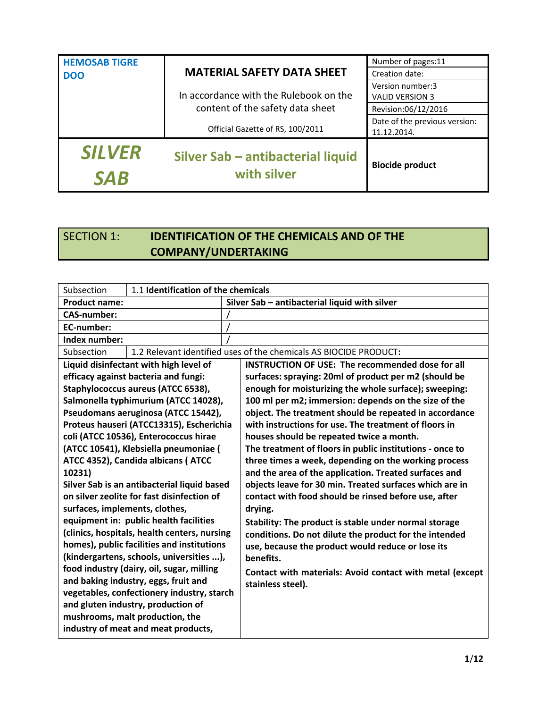| <b>HEMOSAB TIGRE</b><br><b>DOO</b> | <b>MATERIAL SAFETY DATA SHEET</b>                | Number of pages:11<br>Creation date:         |
|------------------------------------|--------------------------------------------------|----------------------------------------------|
|                                    | In accordance with the Rulebook on the           | Version number:3<br><b>VALID VERSION 3</b>   |
|                                    | content of the safety data sheet                 | Revision:06/12/2016                          |
|                                    | Official Gazette of RS, 100/2011                 | Date of the previous version:<br>11.12.2014. |
| <b>SILVER</b><br><b>SAR</b>        | Silver Sab - antibacterial liquid<br>with silver | <b>Biocide product</b>                       |

### SECTION 1: **IDENTIFICATION OF THE CHEMICALS AND OF THE COMPANY/UNDERTAKING**

| Subsection                                | 1.1 Identification of the chemicals          |                                                                   |  |
|-------------------------------------------|----------------------------------------------|-------------------------------------------------------------------|--|
| <b>Product name:</b>                      |                                              | Silver Sab - antibacterial liquid with silver                     |  |
| <b>CAS-number:</b>                        |                                              |                                                                   |  |
| <b>EC-number:</b>                         |                                              |                                                                   |  |
| Index number:                             |                                              |                                                                   |  |
| Subsection                                |                                              | 1.2 Relevant identified uses of the chemicals AS BIOCIDE PRODUCT: |  |
|                                           | Liquid disinfectant with high level of       | <b>INSTRUCTION OF USE: The recommended dose for all</b>           |  |
|                                           | efficacy against bacteria and fungi:         | surfaces: spraying: 20ml of product per m2 (should be             |  |
|                                           | Staphylococcus aureus (ATCC 6538),           | enough for moisturizing the whole surface); sweeping:             |  |
|                                           | Salmonella typhimurium (ATCC 14028),         | 100 ml per m2; immersion: depends on the size of the              |  |
|                                           | Pseudomans aeruginosa (ATCC 15442),          | object. The treatment should be repeated in accordance            |  |
|                                           | Proteus hauseri (ATCC13315), Escherichia     | with instructions for use. The treatment of floors in             |  |
|                                           | coli (ATCC 10536), Enterococcus hirae        | houses should be repeated twice a month.                          |  |
|                                           | (ATCC 10541), Klebsiella pneumoniae (        | The treatment of floors in public institutions - once to          |  |
|                                           | ATCC 4352), Candida albicans (ATCC           | three times a week, depending on the working process              |  |
| 10231)                                    |                                              | and the area of the application. Treated surfaces and             |  |
|                                           | Silver Sab is an antibacterial liquid based  | objects leave for 30 min. Treated surfaces which are in           |  |
|                                           | on silver zeolite for fast disinfection of   | contact with food should be rinsed before use, after              |  |
| surfaces, implements, clothes,            |                                              | drying.                                                           |  |
|                                           | equipment in: public health facilities       | Stability: The product is stable under normal storage             |  |
|                                           | (clinics, hospitals, health centers, nursing | conditions. Do not dilute the product for the intended            |  |
|                                           | homes), public facilities and institutions   | use, because the product would reduce or lose its                 |  |
|                                           | (kindergartens, schools, universities ),     | benefits.                                                         |  |
| food industry (dairy, oil, sugar, milling |                                              | Contact with materials: Avoid contact with metal (except          |  |
|                                           | and baking industry, eggs, fruit and         | stainless steel).                                                 |  |
|                                           | vegetables, confectionery industry, starch   |                                                                   |  |
|                                           | and gluten industry, production of           |                                                                   |  |
|                                           | mushrooms, malt production, the              |                                                                   |  |
|                                           | industry of meat and meat products,          |                                                                   |  |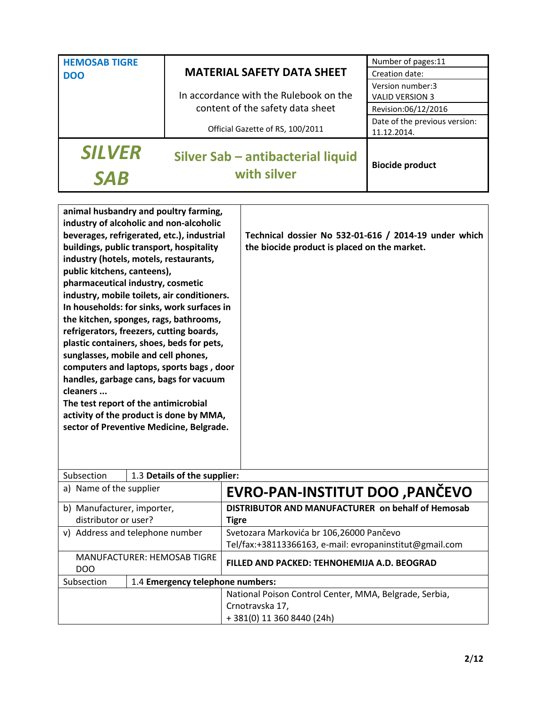| <b>HEMOSAB TIGRE</b>        |                                                  | Number of pages:11                           |
|-----------------------------|--------------------------------------------------|----------------------------------------------|
| <b>DOO</b>                  | <b>MATERIAL SAFETY DATA SHEET</b>                | Creation date:                               |
|                             | In accordance with the Rulebook on the           | Version number:3<br><b>VALID VERSION 3</b>   |
|                             | content of the safety data sheet                 | Revision:06/12/2016                          |
|                             | Official Gazette of RS, 100/2011                 | Date of the previous version:<br>11.12.2014. |
| <b>SILVER</b><br><b>SAB</b> | Silver Sab - antibacterial liquid<br>with silver | <b>Biocide product</b>                       |

| animal husbandry and poultry farming,            |                                             |                                                         |  |
|--------------------------------------------------|---------------------------------------------|---------------------------------------------------------|--|
|                                                  | industry of alcoholic and non-alcoholic     |                                                         |  |
|                                                  | beverages, refrigerated, etc.), industrial  | Technical dossier No 532-01-616 / 2014-19 under which   |  |
|                                                  | buildings, public transport, hospitality    | the biocide product is placed on the market.            |  |
|                                                  | industry (hotels, motels, restaurants,      |                                                         |  |
| public kitchens, canteens),                      |                                             |                                                         |  |
|                                                  | pharmaceutical industry, cosmetic           |                                                         |  |
|                                                  | industry, mobile toilets, air conditioners. |                                                         |  |
|                                                  | In households: for sinks, work surfaces in  |                                                         |  |
|                                                  | the kitchen, sponges, rags, bathrooms,      |                                                         |  |
|                                                  | refrigerators, freezers, cutting boards,    |                                                         |  |
|                                                  | plastic containers, shoes, beds for pets,   |                                                         |  |
|                                                  | sunglasses, mobile and cell phones,         |                                                         |  |
|                                                  | computers and laptops, sports bags, door    |                                                         |  |
|                                                  | handles, garbage cans, bags for vacuum      |                                                         |  |
| cleaners                                         |                                             |                                                         |  |
|                                                  | The test report of the antimicrobial        |                                                         |  |
| activity of the product is done by MMA,          |                                             |                                                         |  |
| sector of Preventive Medicine, Belgrade.         |                                             |                                                         |  |
|                                                  |                                             |                                                         |  |
|                                                  |                                             |                                                         |  |
| Subsection                                       | 1.3 Details of the supplier:                |                                                         |  |
| a) Name of the supplier                          |                                             | EVRO-PAN-INSTITUT DOO ,PANČEVO                          |  |
| b) Manufacturer, importer,                       |                                             | DISTRIBUTOR AND MANUFACTURER on behalf of Hemosab       |  |
| distributor or user?                             |                                             | <b>Tigre</b>                                            |  |
|                                                  | v) Address and telephone number             | Svetozara Markovića br 106,26000 Pančevo                |  |
|                                                  |                                             | Tel/fax:+38113366163, e-mail: evropaninstitut@gmail.com |  |
| <b>MANUFACTURER: HEMOSAB TIGRE</b><br><b>DOO</b> |                                             | FILLED AND PACKED: TEHNOHEMIJA A.D. BEOGRAD             |  |
| 1.4 Emergency telephone numbers:<br>Subsection   |                                             |                                                         |  |
|                                                  |                                             | National Poison Control Center, MMA, Belgrade, Serbia,  |  |
|                                                  |                                             | Crnotravska 17,                                         |  |
|                                                  |                                             | +381(0) 11 360 8440 (24h)                               |  |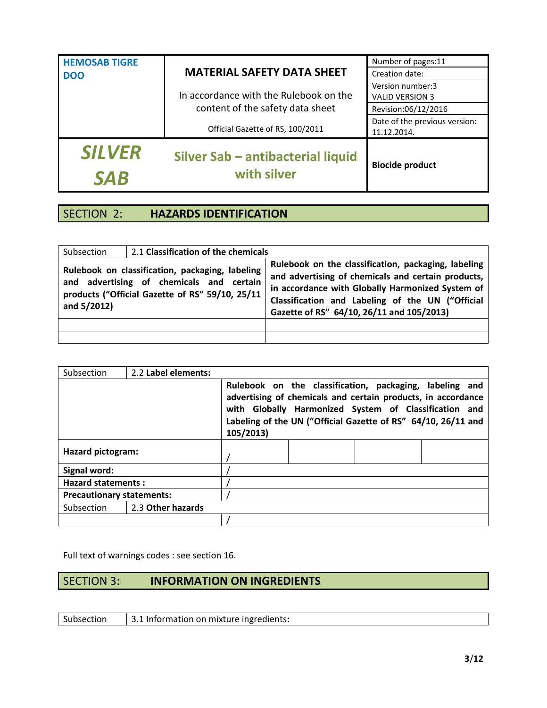| <b>SILVER</b><br><b>SAB</b> | Silver Sab - antibacterial liquid<br>with silver | <b>Biocide product</b>                       |
|-----------------------------|--------------------------------------------------|----------------------------------------------|
|                             | Official Gazette of RS, 100/2011                 | Date of the previous version:<br>11.12.2014. |
|                             | content of the safety data sheet                 | Revision:06/12/2016                          |
|                             | In accordance with the Rulebook on the           | Version number:3<br><b>VALID VERSION 3</b>   |
| <b>DOO</b>                  | <b>MATERIAL SAFETY DATA SHEET</b>                | Creation date:                               |
| <b>HEMOSAB TIGRE</b>        |                                                  | Number of pages:11                           |

## SECTION 2: **HAZARDS IDENTIFICATION**

| Subsection                                                                                                                                                       | 2.1 Classification of the chemicals |                                                                                                                                                                                                                                                                |
|------------------------------------------------------------------------------------------------------------------------------------------------------------------|-------------------------------------|----------------------------------------------------------------------------------------------------------------------------------------------------------------------------------------------------------------------------------------------------------------|
| Rulebook on classification, packaging, labeling<br>and advertising of chemicals and certain<br>products ("Official Gazette of RS" 59/10, 25/11<br>and $5/2012$ ) |                                     | Rulebook on the classification, packaging, labeling<br>and advertising of chemicals and certain products,<br>in accordance with Globally Harmonized System of<br>Classification and Labeling of the UN ("Official<br>Gazette of RS" 64/10, 26/11 and 105/2013) |
|                                                                                                                                                                  |                                     |                                                                                                                                                                                                                                                                |
|                                                                                                                                                                  |                                     |                                                                                                                                                                                                                                                                |

| Subsection                       | 2.2 Label elements: |                                                                                                                                                                                                                                                                |  |  |  |
|----------------------------------|---------------------|----------------------------------------------------------------------------------------------------------------------------------------------------------------------------------------------------------------------------------------------------------------|--|--|--|
|                                  |                     | Rulebook on the classification, packaging, labeling and<br>advertising of chemicals and certain products, in accordance<br>with Globally Harmonized System of Classification and<br>Labeling of the UN ("Official Gazette of RS" 64/10, 26/11 and<br>105/2013) |  |  |  |
| <b>Hazard pictogram:</b>         |                     |                                                                                                                                                                                                                                                                |  |  |  |
| Signal word:                     |                     |                                                                                                                                                                                                                                                                |  |  |  |
| <b>Hazard statements:</b>        |                     |                                                                                                                                                                                                                                                                |  |  |  |
| <b>Precautionary statements:</b> |                     |                                                                                                                                                                                                                                                                |  |  |  |
| Subsection                       | 2.3 Other hazards   |                                                                                                                                                                                                                                                                |  |  |  |
|                                  |                     |                                                                                                                                                                                                                                                                |  |  |  |

Full text of warnings codes : see section 16.

#### SECTION 3: **INFORMATION ON INGREDIENTS**

Subsection 3.1 Information on mixture ingredients**:**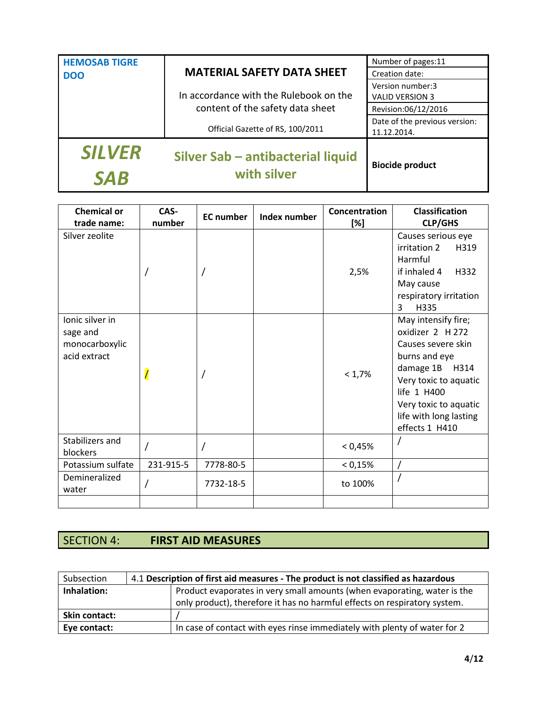| <b>SILVER</b><br><b>SAB</b> | Silver Sab - antibacterial liquid<br>with silver | <b>Biocide product</b>                       |
|-----------------------------|--------------------------------------------------|----------------------------------------------|
|                             | Official Gazette of RS, 100/2011                 | Date of the previous version:<br>11.12.2014. |
|                             | content of the safety data sheet                 | Revision:06/12/2016                          |
|                             | In accordance with the Rulebook on the           | Version number:3<br><b>VALID VERSION 3</b>   |
| <b>DOO</b>                  | <b>MATERIAL SAFETY DATA SHEET</b>                | Creation date:                               |
| <b>HEMOSAB TIGRE</b>        |                                                  | Number of pages:11                           |

| <b>Chemical or</b><br>trade name:                             | CAS-<br>number           | <b>EC</b> number | Index number | Concentration<br>[%] | <b>Classification</b><br><b>CLP/GHS</b>                                                                                                                                                                          |
|---------------------------------------------------------------|--------------------------|------------------|--------------|----------------------|------------------------------------------------------------------------------------------------------------------------------------------------------------------------------------------------------------------|
| Silver zeolite                                                |                          |                  |              | 2,5%                 | Causes serious eye<br>irritation 2<br>H319<br>Harmful<br>if inhaled 4<br>H332<br>May cause<br>respiratory irritation<br>3<br>H335                                                                                |
| lonic silver in<br>sage and<br>monocarboxylic<br>acid extract | $\overline{\phantom{a}}$ |                  |              | < 1,7%               | May intensify fire;<br>oxidizer 2 H 272<br>Causes severe skin<br>burns and eye<br>damage 1B<br>H314<br>Very toxic to aquatic<br>life 1 H400<br>Very toxic to aquatic<br>life with long lasting<br>effects 1 H410 |
| Stabilizers and<br>blockers                                   |                          |                  |              | < 0,45%              |                                                                                                                                                                                                                  |
| Potassium sulfate                                             | 231-915-5                | 7778-80-5        |              | < 0,15%              |                                                                                                                                                                                                                  |
| Demineralized<br>water                                        |                          | 7732-18-5        |              | to 100%              |                                                                                                                                                                                                                  |
|                                                               |                          |                  |              |                      |                                                                                                                                                                                                                  |

## SECTION 4: **FIRST AID MEASURES**

| Subsection    | 4.1 Description of first aid measures - The product is not classified as hazardous |                                                                           |  |
|---------------|------------------------------------------------------------------------------------|---------------------------------------------------------------------------|--|
| Inhalation:   |                                                                                    | Product evaporates in very small amounts (when evaporating, water is the  |  |
|               |                                                                                    | only product), therefore it has no harmful effects on respiratory system. |  |
| Skin contact: |                                                                                    |                                                                           |  |
| Eye contact:  |                                                                                    | In case of contact with eyes rinse immediately with plenty of water for 2 |  |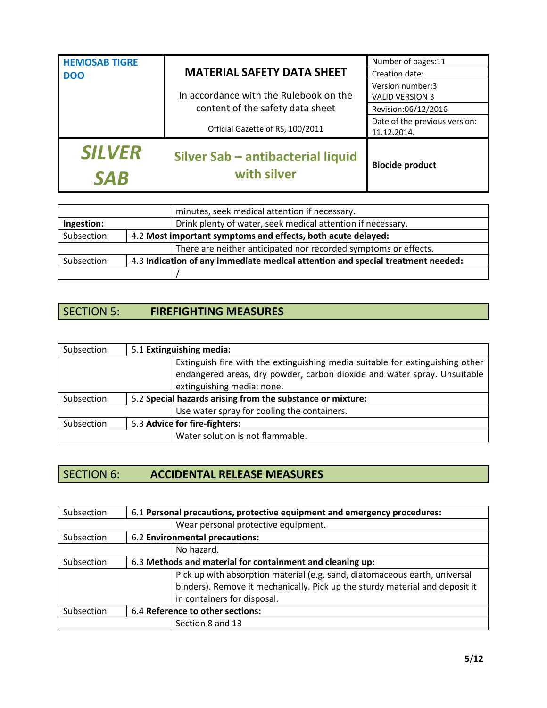| <b>SILVER</b><br><b>SAB</b> | Silver Sab - antibacterial liquid<br>with silver | <b>Biocide product</b>                       |
|-----------------------------|--------------------------------------------------|----------------------------------------------|
|                             | Official Gazette of RS, 100/2011                 | Date of the previous version:<br>11.12.2014. |
|                             | content of the safety data sheet                 | Revision:06/12/2016                          |
|                             | In accordance with the Rulebook on the           | Version number:3<br><b>VALID VERSION 3</b>   |
| <b>DOO</b>                  | <b>MATERIAL SAFETY DATA SHEET</b>                | Creation date:                               |
| <b>HEMOSAB TIGRE</b>        |                                                  | Number of pages:11                           |

|            | minutes, seek medical attention if necessary.                                   |
|------------|---------------------------------------------------------------------------------|
| Ingestion: | Drink plenty of water, seek medical attention if necessary.                     |
| Subsection | 4.2 Most important symptoms and effects, both acute delayed:                    |
|            | There are neither anticipated nor recorded symptoms or effects.                 |
| Subsection | 4.3 Indication of any immediate medical attention and special treatment needed: |
|            |                                                                                 |

# SECTION 5: **FIREFIGHTING MEASURES**

| Subsection | 5.1 Extinguishing media:                                   |                                                                                                                                                           |  |
|------------|------------------------------------------------------------|-----------------------------------------------------------------------------------------------------------------------------------------------------------|--|
|            | extinguishing media: none.                                 | Extinguish fire with the extinguishing media suitable for extinguishing other<br>endangered areas, dry powder, carbon dioxide and water spray. Unsuitable |  |
| Subsection | 5.2 Special hazards arising from the substance or mixture: |                                                                                                                                                           |  |
|            | Use water spray for cooling the containers.                |                                                                                                                                                           |  |
| Subsection | 5.3 Advice for fire-fighters:                              |                                                                                                                                                           |  |
|            | Water solution is not flammable.                           |                                                                                                                                                           |  |

## SECTION 6: **ACCIDENTAL RELEASE MEASURES**

| Subsection                                     | 6.1 Personal precautions, protective equipment and emergency procedures: |                                                                              |  |
|------------------------------------------------|--------------------------------------------------------------------------|------------------------------------------------------------------------------|--|
|                                                |                                                                          | Wear personal protective equipment.                                          |  |
| Subsection                                     |                                                                          | 6.2 Environmental precautions:                                               |  |
| No hazard.                                     |                                                                          |                                                                              |  |
| Subsection                                     |                                                                          | 6.3 Methods and material for containment and cleaning up:                    |  |
|                                                |                                                                          | Pick up with absorption material (e.g. sand, diatomaceous earth, universal   |  |
|                                                |                                                                          | binders). Remove it mechanically. Pick up the sturdy material and deposit it |  |
| in containers for disposal.                    |                                                                          |                                                                              |  |
| 6.4 Reference to other sections:<br>Subsection |                                                                          |                                                                              |  |
|                                                |                                                                          | Section 8 and 13                                                             |  |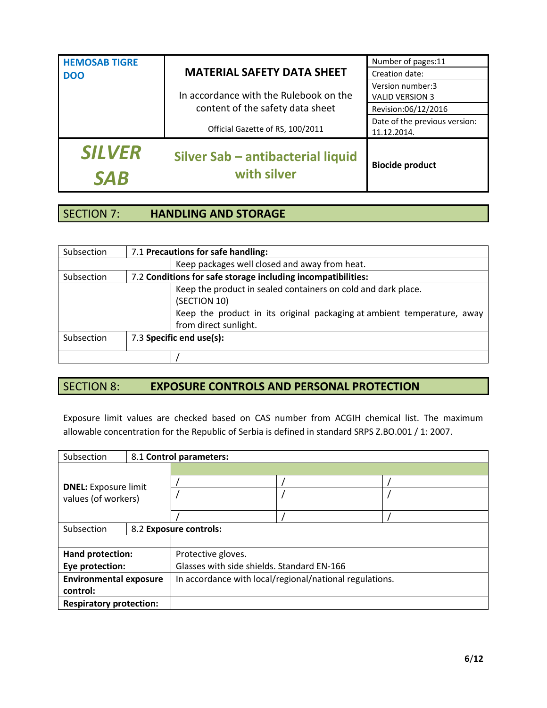| <b>SILVER</b> | In accordance with the Rulebook on the<br><b>VALID VERSION 3</b><br>content of the safety data sheet<br>Official Gazette of RS, 100/2011 | Revision:06/12/2016<br>Date of the previous version:<br>11.12.2014. |
|---------------|------------------------------------------------------------------------------------------------------------------------------------------|---------------------------------------------------------------------|
|               | Silver Sab - antibacterial liquid<br><b>Biocide product</b><br>with silver                                                               |                                                                     |

#### SECTION 7: **HANDLING AND STORAGE**

| Subsection | 7.1 Precautions for safe handling: |                                                                                                                                                          |  |
|------------|------------------------------------|----------------------------------------------------------------------------------------------------------------------------------------------------------|--|
|            |                                    | Keep packages well closed and away from heat.                                                                                                            |  |
| Subsection |                                    | 7.2 Conditions for safe storage including incompatibilities:                                                                                             |  |
|            |                                    | Keep the product in sealed containers on cold and dark place.<br>(SECTION 10)<br>Keep the product in its original packaging at ambient temperature, away |  |
|            |                                    | from direct sunlight.                                                                                                                                    |  |
| Subsection |                                    | 7.3 Specific end use(s):                                                                                                                                 |  |
|            |                                    |                                                                                                                                                          |  |

### SECTION 8: **EXPOSURE CONTROLS AND PERSONAL PROTECTION**

Exposure limit values are checked based on CAS number from ACGIH chemical list. The maximum allowable concentration for the Republic of Serbia is defined in standard SRPS Z.BO.001 / 1: 2007.

| Subsection                     |  | 8.1 Control parameters:                                 |  |  |  |
|--------------------------------|--|---------------------------------------------------------|--|--|--|
|                                |  |                                                         |  |  |  |
| <b>DNEL:</b> Exposure limit    |  |                                                         |  |  |  |
| values (of workers)            |  |                                                         |  |  |  |
|                                |  |                                                         |  |  |  |
|                                |  |                                                         |  |  |  |
| Subsection                     |  | 8.2 Exposure controls:                                  |  |  |  |
|                                |  |                                                         |  |  |  |
| Hand protection:               |  | Protective gloves.                                      |  |  |  |
| Eye protection:                |  | Glasses with side shields. Standard EN-166              |  |  |  |
| <b>Environmental exposure</b>  |  | In accordance with local/regional/national regulations. |  |  |  |
| control:                       |  |                                                         |  |  |  |
| <b>Respiratory protection:</b> |  |                                                         |  |  |  |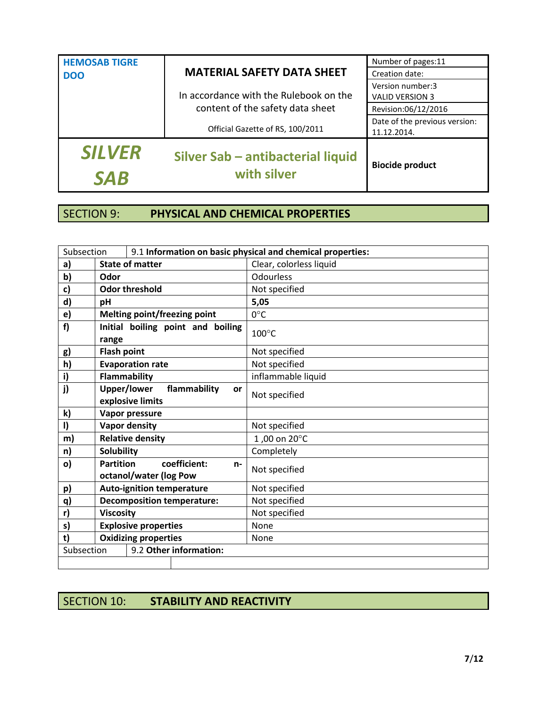| <b>HEMOSAB TIGRE</b>        |                                                  | Number of pages:11                           |
|-----------------------------|--------------------------------------------------|----------------------------------------------|
| <b>DOO</b>                  | <b>MATERIAL SAFETY DATA SHEET</b>                | Creation date:                               |
|                             | In accordance with the Rulebook on the           | Version number:3<br><b>VALID VERSION 3</b>   |
|                             | content of the safety data sheet                 | Revision:06/12/2016                          |
|                             | Official Gazette of RS, 100/2011                 | Date of the previous version:<br>11.12.2014. |
| <b>SILVER</b><br><b>SAB</b> | Silver Sab - antibacterial liquid<br>with silver | <b>Biocide product</b>                       |

### SECTION 9: **PHYSICAL AND CHEMICAL PROPERTIES**

| Subsection   |                                                              |                                              | 9.1 Information on basic physical and chemical properties: |
|--------------|--------------------------------------------------------------|----------------------------------------------|------------------------------------------------------------|
| a)           | <b>State of matter</b>                                       |                                              | Clear, colorless liquid                                    |
| b)           | Odor                                                         |                                              | <b>Odourless</b>                                           |
| c)           |                                                              | <b>Odor threshold</b>                        | Not specified                                              |
| d)           | pH                                                           |                                              | 5,05                                                       |
| e)           |                                                              | Melting point/freezing point                 | $0^{\circ}$ C                                              |
| f            | range                                                        | Initial boiling point and boiling            | $100^{\circ}$ C                                            |
| g)           | <b>Flash point</b>                                           |                                              | Not specified                                              |
| h)           |                                                              | <b>Evaporation rate</b>                      | Not specified                                              |
| i)           |                                                              | <b>Flammability</b>                          | inflammable liquid                                         |
| j)           | <b>Upper/lower</b><br>flammability<br>or<br>explosive limits |                                              | Not specified                                              |
| k)           | Vapor pressure                                               |                                              |                                                            |
| $\mathsf{I}$ |                                                              | <b>Vapor density</b>                         | Not specified                                              |
| m)           |                                                              | <b>Relative density</b>                      | 1,00 on 20°C                                               |
| n)           | <b>Solubility</b>                                            |                                              | Completely                                                 |
| o)           | <b>Partition</b>                                             | coefficient:<br>n-<br>octanol/water (log Pow | Not specified                                              |
| p)           |                                                              | <b>Auto-ignition temperature</b>             | Not specified                                              |
| q)           | <b>Decomposition temperature:</b>                            |                                              | Not specified                                              |
| r)           | <b>Viscosity</b>                                             |                                              | Not specified                                              |
| s)           | <b>Explosive properties</b>                                  |                                              | None                                                       |
| t)           |                                                              | <b>Oxidizing properties</b>                  | <b>None</b>                                                |
| Subsection   |                                                              | 9.2 Other information:                       |                                                            |
|              |                                                              |                                              |                                                            |

SECTION 10: **STABILITY AND REACTIVITY**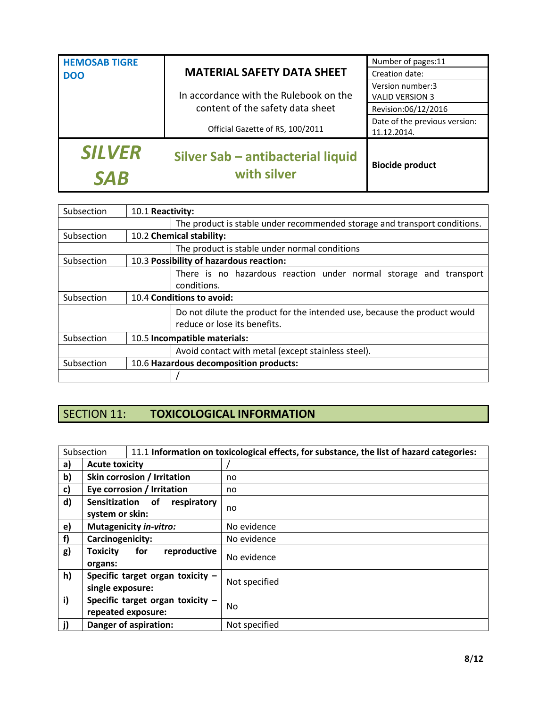| <b>HEMOSAB TIGRE</b><br><b>DOO</b> | <b>MATERIAL SAFETY DATA SHEET</b>                | Number of pages:11<br>Creation date:         |
|------------------------------------|--------------------------------------------------|----------------------------------------------|
|                                    | In accordance with the Rulebook on the           | Version number:3<br><b>VALID VERSION 3</b>   |
|                                    | content of the safety data sheet                 | Revision:06/12/2016                          |
|                                    | Official Gazette of RS, 100/2011                 | Date of the previous version:<br>11.12.2014. |
| <b>SILVER</b><br><b>SAB</b>        | Silver Sab - antibacterial liquid<br>with silver | <b>Biocide product</b>                       |

| Subsection                                           |                          | 10.1 Reactivity:                                                                                          |  |  |
|------------------------------------------------------|--------------------------|-----------------------------------------------------------------------------------------------------------|--|--|
|                                                      |                          | The product is stable under recommended storage and transport conditions.                                 |  |  |
| Subsection                                           | 10.2 Chemical stability: |                                                                                                           |  |  |
|                                                      |                          | The product is stable under normal conditions                                                             |  |  |
| Subsection                                           |                          | 10.3 Possibility of hazardous reaction:                                                                   |  |  |
|                                                      |                          | There is no hazardous reaction under normal storage and transport<br>conditions.                          |  |  |
| Subsection                                           |                          | 10.4 Conditions to avoid:                                                                                 |  |  |
|                                                      |                          | Do not dilute the product for the intended use, because the product would<br>reduce or lose its benefits. |  |  |
| Subsection<br>10.5 Incompatible materials:           |                          |                                                                                                           |  |  |
|                                                      |                          | Avoid contact with metal (except stainless steel).                                                        |  |  |
| Subsection<br>10.6 Hazardous decomposition products: |                          |                                                                                                           |  |  |
|                                                      |                          |                                                                                                           |  |  |

## SECTION 11: **TOXICOLOGICAL INFORMATION**

| Subsection |                                                          |                               | 11.1 Information on toxicological effects, for substance, the list of hazard categories: |
|------------|----------------------------------------------------------|-------------------------------|------------------------------------------------------------------------------------------|
| a)         | <b>Acute toxicity</b>                                    |                               |                                                                                          |
| b)         |                                                          | Skin corrosion / Irritation   | no                                                                                       |
| c)         |                                                          | Eye corrosion / Irritation    | no                                                                                       |
| d)         | Sensitization<br>respiratory<br>0f<br>system or skin:    |                               | no                                                                                       |
| e)         |                                                          | <b>Mutagenicity in-vitro:</b> | No evidence                                                                              |
| f)         | Carcinogenicity:                                         |                               | No evidence                                                                              |
| g)         | reproductive<br>for<br><b>Toxicity</b><br>organs:        |                               | No evidence                                                                              |
| h)         | Specific target organ toxicity $-$<br>single exposure:   |                               | Not specified                                                                            |
| i)         | Specific target organ toxicity $-$<br>repeated exposure: |                               | No                                                                                       |
| j)         | Danger of aspiration:                                    |                               | Not specified                                                                            |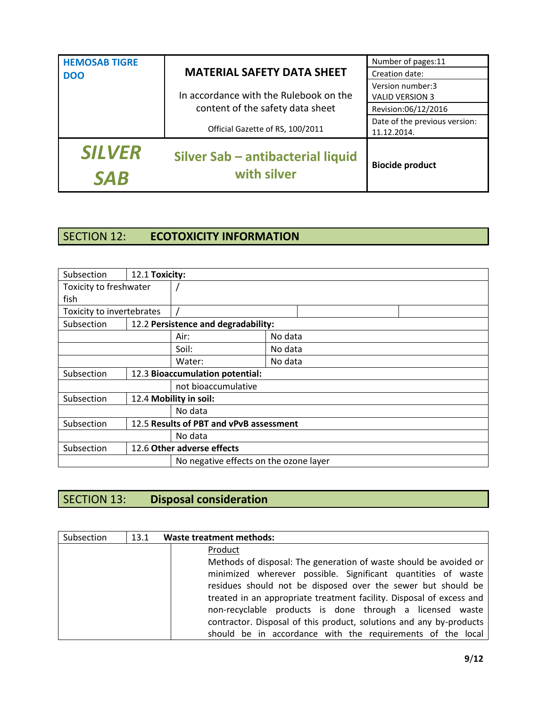| <b>HEMOSAB TIGRE</b>        |                                                  | Number of pages:11                           |
|-----------------------------|--------------------------------------------------|----------------------------------------------|
| <b>DOO</b>                  | <b>MATERIAL SAFETY DATA SHEET</b>                | Creation date:                               |
|                             | In accordance with the Rulebook on the           | Version number:3<br><b>VALID VERSION 3</b>   |
|                             | content of the safety data sheet                 | Revision:06/12/2016                          |
|                             | Official Gazette of RS, 100/2011                 | Date of the previous version:<br>11.12.2014. |
| <b>SILVER</b><br><b>SAR</b> | Silver Sab - antibacterial liquid<br>with silver | <b>Biocide product</b>                       |

## SECTION 12: **ECOTOXICITY INFORMATION**

| Subsection                | 12.1 Toxicity: |                                         |         |  |  |
|---------------------------|----------------|-----------------------------------------|---------|--|--|
| Toxicity to freshwater    |                |                                         |         |  |  |
| fish                      |                |                                         |         |  |  |
| Toxicity to invertebrates |                |                                         |         |  |  |
| Subsection                |                | 12.2 Persistence and degradability:     |         |  |  |
|                           |                | Air:                                    | No data |  |  |
|                           |                | Soil:                                   | No data |  |  |
|                           |                | No data<br>Water:                       |         |  |  |
| Subsection                |                | 12.3 Bioaccumulation potential:         |         |  |  |
|                           |                | not bioaccumulative                     |         |  |  |
| Subsection                |                | 12.4 Mobility in soil:                  |         |  |  |
|                           |                | No data                                 |         |  |  |
| Subsection                |                | 12.5 Results of PBT and vPvB assessment |         |  |  |
|                           |                | No data                                 |         |  |  |
| Subsection                |                | 12.6 Other adverse effects              |         |  |  |
|                           |                | No negative effects on the ozone layer  |         |  |  |

## SECTION 13: **Disposal consideration**

| Subsection | 13.1 | <b>Waste treatment methods:</b>                                                                                                                                                                                                                                                                                                                                                                                                                                                       |
|------------|------|---------------------------------------------------------------------------------------------------------------------------------------------------------------------------------------------------------------------------------------------------------------------------------------------------------------------------------------------------------------------------------------------------------------------------------------------------------------------------------------|
|            |      | Product<br>Methods of disposal: The generation of waste should be avoided or<br>minimized wherever possible. Significant quantities of waste<br>residues should not be disposed over the sewer but should be<br>treated in an appropriate treatment facility. Disposal of excess and<br>non-recyclable products is done through a licensed waste<br>contractor. Disposal of this product, solutions and any by-products<br>should be in accordance with the requirements of the local |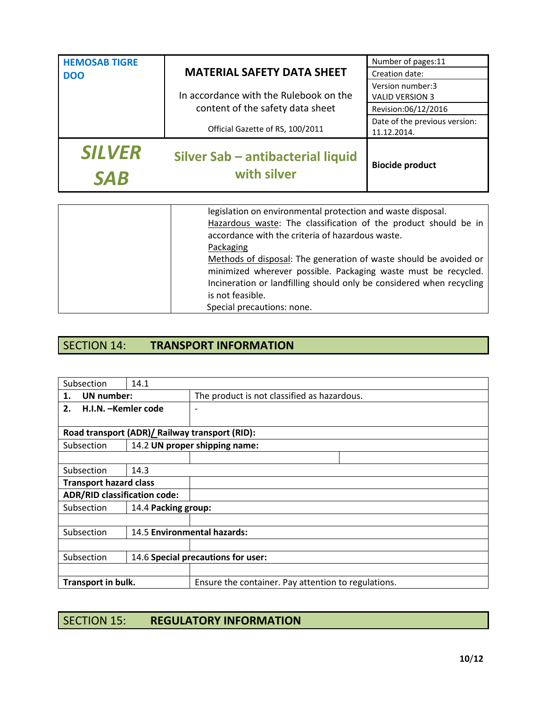| <b>HEMOSAB TIGRE</b>        |                                                  | Number of pages:11                           |
|-----------------------------|--------------------------------------------------|----------------------------------------------|
| <b>DOO</b>                  | <b>MATERIAL SAFETY DATA SHEET</b>                | Creation date:                               |
|                             | In accordance with the Rulebook on the           | Version number:3<br><b>VALID VERSION 3</b>   |
|                             | content of the safety data sheet                 | Revision:06/12/2016                          |
|                             | Official Gazette of RS, 100/2011                 | Date of the previous version:<br>11.12.2014. |
| <b>SILVER</b><br><b>SAB</b> | Silver Sab - antibacterial liquid<br>with silver | <b>Biocide product</b>                       |

| legislation on environmental protection and waste disposal.          |
|----------------------------------------------------------------------|
| Hazardous waste: The classification of the product should be in      |
| accordance with the criteria of hazardous waste.                     |
| Packaging                                                            |
| Methods of disposal: The generation of waste should be avoided or    |
| minimized wherever possible. Packaging waste must be recycled.       |
| Incineration or landfilling should only be considered when recycling |
| is not feasible.                                                     |
| Special precautions: none.                                           |

## SECTION 14: **TRANSPORT INFORMATION**

| Subsection                                     | 14.1 |                                                     |
|------------------------------------------------|------|-----------------------------------------------------|
| <b>UN</b> number:<br>1.                        |      | The product is not classified as hazardous.         |
| H.I.N. –Kemler code<br>2.                      |      |                                                     |
|                                                |      |                                                     |
| Road transport (ADR)/ Railway transport (RID): |      |                                                     |
| Subsection                                     |      | 14.2 UN proper shipping name:                       |
|                                                |      |                                                     |
| Subsection<br>14.3                             |      |                                                     |
| <b>Transport hazard class</b>                  |      |                                                     |
| <b>ADR/RID classification code:</b>            |      |                                                     |
| Subsection<br>14.4 Packing group:              |      |                                                     |
|                                                |      |                                                     |
| Subsection                                     |      | 14.5 Environmental hazards:                         |
|                                                |      |                                                     |
| Subsection                                     |      | 14.6 Special precautions for user:                  |
|                                                |      |                                                     |
| Transport in bulk.                             |      | Ensure the container. Pay attention to regulations. |

## SECTION 15: **REGULATORY INFORMATION**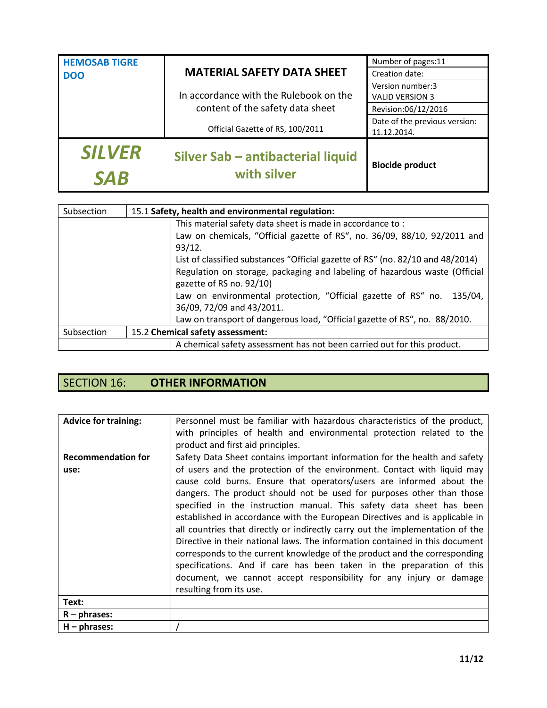| <b>HEMOSAB TIGRE</b>        |                                                  | Number of pages:11                           |
|-----------------------------|--------------------------------------------------|----------------------------------------------|
| <b>DOO</b>                  | <b>MATERIAL SAFETY DATA SHEET</b>                | Creation date:                               |
|                             | In accordance with the Rulebook on the           | Version number:3<br><b>VALID VERSION 3</b>   |
|                             | content of the safety data sheet                 | Revision:06/12/2016                          |
|                             | Official Gazette of RS, 100/2011                 | Date of the previous version:<br>11.12.2014. |
| <b>SILVER</b><br><b>SAB</b> | Silver Sab - antibacterial liquid<br>with silver | <b>Biocide product</b>                       |

| Subsection | 15.1 Safety, health and environmental regulation: |                                                                                |
|------------|---------------------------------------------------|--------------------------------------------------------------------------------|
|            |                                                   | This material safety data sheet is made in accordance to:                      |
|            |                                                   | Law on chemicals, "Official gazette of RS", no. 36/09, 88/10, 92/2011 and      |
|            |                                                   | 93/12.                                                                         |
|            |                                                   | List of classified substances "Official gazette of RS" (no. 82/10 and 48/2014) |
|            |                                                   | Regulation on storage, packaging and labeling of hazardous waste (Official     |
|            |                                                   | gazette of RS no. 92/10)                                                       |
|            |                                                   | Law on environmental protection, "Official gazette of RS" no. 135/04,          |
|            |                                                   | 36/09, 72/09 and 43/2011.                                                      |
|            |                                                   | Law on transport of dangerous load, "Official gazette of RS", no. 88/2010.     |
| Subsection | 15.2 Chemical safety assessment:                  |                                                                                |
|            |                                                   | A chemical safety assessment has not been carried out for this product.        |

## SECTION 16: **OTHER INFORMATION**

| <b>Advice for training:</b> | Personnel must be familiar with hazardous characteristics of the product,     |  |
|-----------------------------|-------------------------------------------------------------------------------|--|
|                             | with principles of health and environmental protection related to the         |  |
|                             | product and first aid principles.                                             |  |
| <b>Recommendation for</b>   | Safety Data Sheet contains important information for the health and safety    |  |
| use:                        | of users and the protection of the environment. Contact with liquid may       |  |
|                             | cause cold burns. Ensure that operators/users are informed about the          |  |
|                             | dangers. The product should not be used for purposes other than those         |  |
|                             | specified in the instruction manual. This safety data sheet has been          |  |
|                             | established in accordance with the European Directives and is applicable in   |  |
|                             | all countries that directly or indirectly carry out the implementation of the |  |
|                             | Directive in their national laws. The information contained in this document  |  |
|                             | corresponds to the current knowledge of the product and the corresponding     |  |
|                             | specifications. And if care has been taken in the preparation of this         |  |
|                             | document, we cannot accept responsibility for any injury or damage            |  |
|                             | resulting from its use.                                                       |  |
|                             |                                                                               |  |
| Text:                       |                                                                               |  |
| $R$ – phrases:              |                                                                               |  |
| $H$ – phrases:              |                                                                               |  |